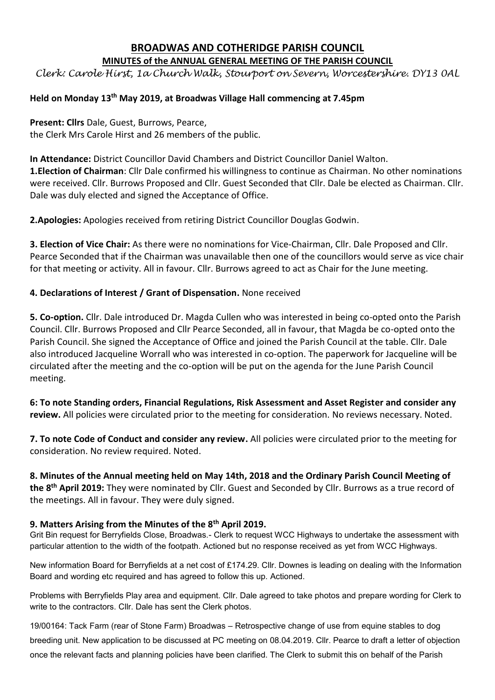### **BROADWAS AND COTHERIDGE PARISH COUNCIL MINUTES of the ANNUAL GENERAL MEETING OF THE PARISH COUNCIL**

*Clerk: Carole Hirst, 1a Church Walk, Stourport on Severn, Worcestershire. DY13 0AL*

# **Held on Monday 13 th May 2019, at Broadwas Village Hall commencing at 7.45pm**

**Present: Cllrs** Dale, Guest, Burrows, Pearce, the Clerk Mrs Carole Hirst and 26 members of the public.

**In Attendance:** District Councillor David Chambers and District Councillor Daniel Walton. **1.Election of Chairman**: Cllr Dale confirmed his willingness to continue as Chairman. No other nominations were received. Cllr. Burrows Proposed and Cllr. Guest Seconded that Cllr. Dale be elected as Chairman. Cllr. Dale was duly elected and signed the Acceptance of Office.

**2.Apologies:** Apologies received from retiring District Councillor Douglas Godwin.

**3. Election of Vice Chair:** As there were no nominations for Vice-Chairman, Cllr. Dale Proposed and Cllr. Pearce Seconded that if the Chairman was unavailable then one of the councillors would serve as vice chair for that meeting or activity. All in favour. Cllr. Burrows agreed to act as Chair for the June meeting.

## **4. Declarations of Interest / Grant of Dispensation.** None received

**5. Co-option.** Cllr. Dale introduced Dr. Magda Cullen who was interested in being co-opted onto the Parish Council. Cllr. Burrows Proposed and Cllr Pearce Seconded, all in favour, that Magda be co-opted onto the Parish Council. She signed the Acceptance of Office and joined the Parish Council at the table. Cllr. Dale also introduced Jacqueline Worrall who was interested in co-option. The paperwork for Jacqueline will be circulated after the meeting and the co-option will be put on the agenda for the June Parish Council meeting.

**6: To note Standing orders, Financial Regulations, Risk Assessment and Asset Register and consider any review.** All policies were circulated prior to the meeting for consideration. No reviews necessary. Noted.

**7. To note Code of Conduct and consider any review.** All policies were circulated prior to the meeting for consideration. No review required. Noted.

**8. Minutes of the Annual meeting held on May 14th, 2018 and the Ordinary Parish Council Meeting of the 8 th April 2019:** They were nominated by Cllr. Guest and Seconded by Cllr. Burrows as a true record of the meetings. All in favour. They were duly signed.

## **9. Matters Arising from the Minutes of the 8th April 2019.**

Grit Bin request for Berryfields Close, Broadwas.- Clerk to request WCC Highways to undertake the assessment with particular attention to the width of the footpath. Actioned but no response received as yet from WCC Highways.

New information Board for Berryfields at a net cost of £174.29. Cllr. Downes is leading on dealing with the Information Board and wording etc required and has agreed to follow this up. Actioned.

Problems with Berryfields Play area and equipment. Cllr. Dale agreed to take photos and prepare wording for Clerk to write to the contractors. Cllr. Dale has sent the Clerk photos.

19/00164: Tack Farm (rear of Stone Farm) Broadwas – Retrospective change of use from equine stables to dog breeding unit. New application to be discussed at PC meeting on 08.04.2019. Cllr. Pearce to draft a letter of objection once the relevant facts and planning policies have been clarified. The Clerk to submit this on behalf of the Parish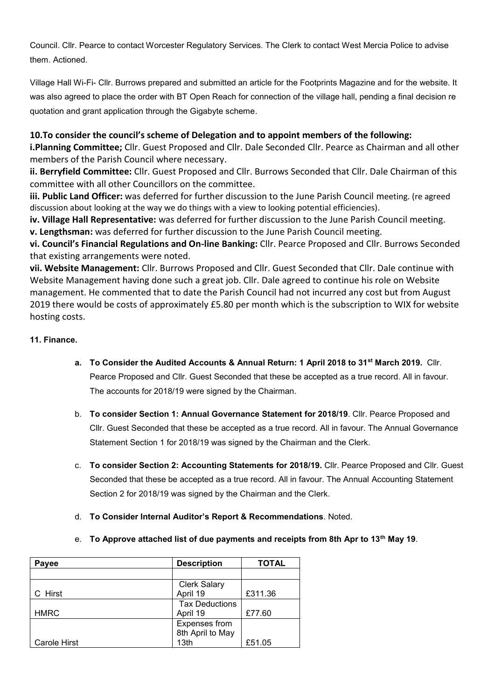Council. Cllr. Pearce to contact Worcester Regulatory Services. The Clerk to contact West Mercia Police to advise them. Actioned.

Village Hall Wi-Fi- Cllr. Burrows prepared and submitted an article for the Footprints Magazine and for the website. It was also agreed to place the order with BT Open Reach for connection of the village hall, pending a final decision re quotation and grant application through the Gigabyte scheme.

## **10.To consider the council's scheme of Delegation and to appoint members of the following:**

**i.Planning Committee;** Cllr. Guest Proposed and Cllr. Dale Seconded Cllr. Pearce as Chairman and all other members of the Parish Council where necessary.

**ii. Berryfield Committee:** Cllr. Guest Proposed and Cllr. Burrows Seconded that Cllr. Dale Chairman of this committee with all other Councillors on the committee.

**iii. Public Land Officer:** was deferred for further discussion to the June Parish Council meeting. (re agreed discussion about looking at the way we do things with a view to looking potential efficiencies).

**iv. Village Hall Representative:** was deferred for further discussion to the June Parish Council meeting. **v. Lengthsman:** was deferred for further discussion to the June Parish Council meeting.

**vi. Council's Financial Regulations and On-line Banking:** Cllr. Pearce Proposed and Cllr. Burrows Seconded that existing arrangements were noted.

**vii. Website Management:** Cllr. Burrows Proposed and Cllr. Guest Seconded that Cllr. Dale continue with Website Management having done such a great job. Cllr. Dale agreed to continue his role on Website management. He commented that to date the Parish Council had not incurred any cost but from August 2019 there would be costs of approximately £5.80 per month which is the subscription to WIX for website hosting costs.

### **11. Finance.**

- **a. To Consider the Audited Accounts & Annual Return: 1 April 2018 to 31st March 2019.** Cllr. Pearce Proposed and Cllr. Guest Seconded that these be accepted as a true record. All in favour. The accounts for 2018/19 were signed by the Chairman.
- b. **To consider Section 1: Annual Governance Statement for 2018/19**. Cllr. Pearce Proposed and Cllr. Guest Seconded that these be accepted as a true record. All in favour. The Annual Governance Statement Section 1 for 2018/19 was signed by the Chairman and the Clerk.
- c. **To consider Section 2: Accounting Statements for 2018/19.** Cllr. Pearce Proposed and Cllr. Guest Seconded that these be accepted as a true record. All in favour. The Annual Accounting Statement Section 2 for 2018/19 was signed by the Chairman and the Clerk.
- d. **To Consider Internal Auditor's Report & Recommendations**. Noted.
- e. **To Approve attached list of due payments and receipts from 8th Apr to 13th May 19**.

| Payee               | <b>Description</b>    | <b>TOTAL</b> |
|---------------------|-----------------------|--------------|
|                     |                       |              |
|                     | <b>Clerk Salary</b>   |              |
| C Hirst             | April 19              | £311.36      |
|                     | <b>Tax Deductions</b> |              |
| <b>HMRC</b>         | April 19              | £77.60       |
|                     | Expenses from         |              |
|                     | 8th April to May      |              |
| <b>Carole Hirst</b> | 13th                  | £51.05       |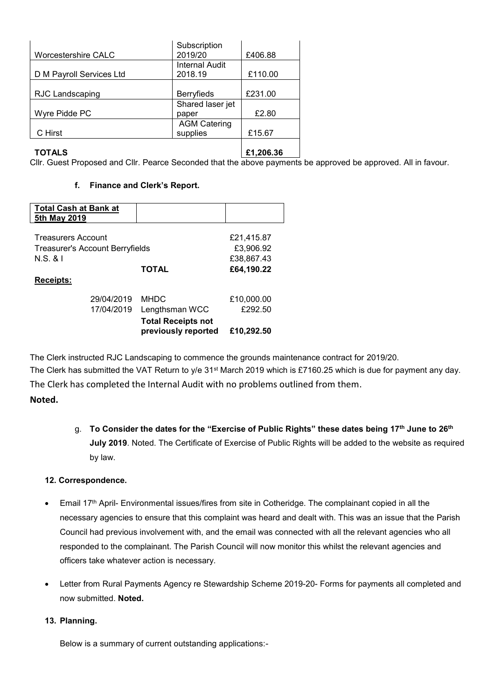|                            | Subscription          |         |
|----------------------------|-----------------------|---------|
| <b>Worcestershire CALC</b> | 2019/20               | £406.88 |
|                            | <b>Internal Audit</b> |         |
| D M Payroll Services Ltd   | 2018.19               | £110.00 |
|                            |                       |         |
| <b>RJC Landscaping</b>     | <b>Berryfieds</b>     | £231.00 |
|                            | Shared laser jet      |         |
| Wyre Pidde PC              | paper                 | £2.80   |
|                            | <b>AGM Catering</b>   |         |
| C Hirst                    | supplies              | £15.67  |
|                            |                       |         |
|                            |                       |         |

#### **TOTALS**

**£1,206.36**

Cllr. Guest Proposed and Cllr. Pearce Seconded that the above payments be approved be approved. All in favour.

#### **f. Finance and Clerk's Report.**

| <b>Total Cash at Bank at</b>           |              |            |
|----------------------------------------|--------------|------------|
| 5th May 2019                           |              |            |
|                                        |              |            |
| <b>Treasurers Account</b>              |              | £21,415.87 |
| <b>Treasurer's Account Berryfields</b> |              | £3,906.92  |
| N.S. 8 I                               |              | £38,867.43 |
|                                        | <b>TOTAL</b> | £64,190.22 |
| <b>Receipts:</b>                       |              |            |

|            | <b>Total Receipts not</b><br>previously reported | £10,292.50 |
|------------|--------------------------------------------------|------------|
| 17/04/2019 | Lengthsman WCC                                   | £292.50    |
| 29/04/2019 | MHDC.                                            | £10,000.00 |
|            |                                                  |            |

The Clerk instructed RJC Landscaping to commence the grounds maintenance contract for 2019/20. The Clerk has submitted the VAT Return to y/e 31<sup>st</sup> March 2019 which is £7160.25 which is due for payment any day. The Clerk has completed the Internal Audit with no problems outlined from them. **Noted.**

> g. **To Consider the dates for the "Exercise of Public Rights" these dates being 17th June to 26th July 2019**. Noted. The Certificate of Exercise of Public Rights will be added to the website as required by law.

### **12. Correspondence.**

- Email 17th April- Environmental issues/fires from site in Cotheridge. The complainant copied in all the necessary agencies to ensure that this complaint was heard and dealt with. This was an issue that the Parish Council had previous involvement with, and the email was connected with all the relevant agencies who all responded to the complainant. The Parish Council will now monitor this whilst the relevant agencies and officers take whatever action is necessary.
- Letter from Rural Payments Agency re Stewardship Scheme 2019-20- Forms for payments all completed and now submitted. **Noted.**

### **13. Planning.**

Below is a summary of current outstanding applications:-